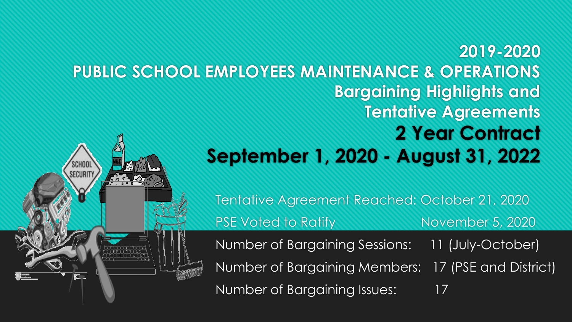#### **2019-2020 PUBLIC SCHOOL EMPLOYEES MAINTENANCE & OPERATIONS Bargaining Highlights and Tentative Agreements 2 Year Contract September 1, 2020 - August 31, 2022 SCHOO**

**SECURIT** 

Tentative Agreement Reached: October 21, 2020 PSE Voted to Ratify November 5, 2020 Number of Bargaining Sessions: 11 (July-October) Number of Bargaining Members: 17 (PSE and District) Number of Bargaining Issues: 17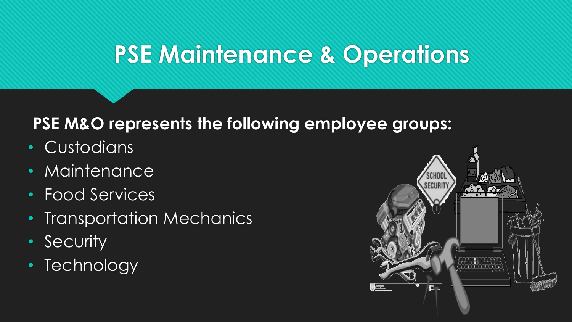# **PSE Maintenance & Operations**

### **PSE M&O represents the following employee groups:**

- Custodians
- Maintenance
- Food Services
- Transportation Mechanics
- Security
- Technology

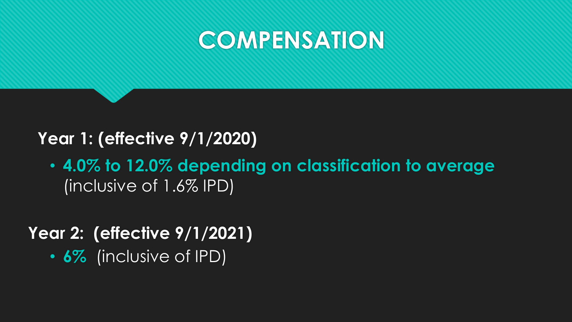### **COMPENSATION**

### **Year 1: (effective 9/1/2020)**

• **4.0% to 12.0% depending on classification to average**  (inclusive of 1.6% IPD)

**Year 2: (effective 9/1/2021)** • **6%** (inclusive of IPD)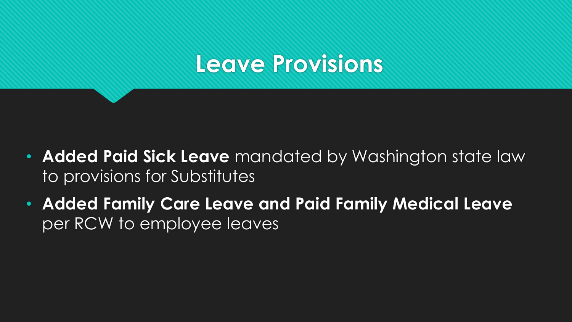## **Leave Provisions**

- **Added Paid Sick Leave** mandated by Washington state law to provisions for Substitutes
- **Added Family Care Leave and Paid Family Medical Leave**  per RCW to employee leaves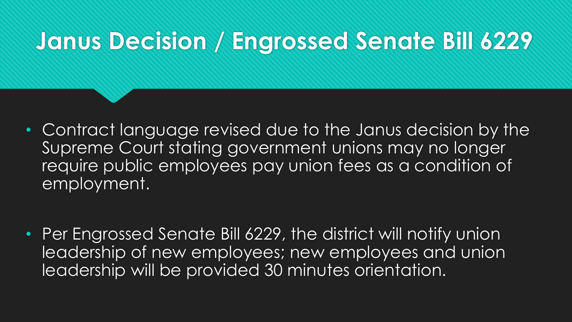# **Janus Decision / Engrossed Senate Bill 6229**

• Contract language revised due to the Janus decision by the Supreme Court stating government unions may no longer require public employees pay union fees as a condition of employment.

• Per Engrossed Senate Bill 6229, the district will notify union leadership of new employees; new employees and union leadership will be provided 30 minutes orientation.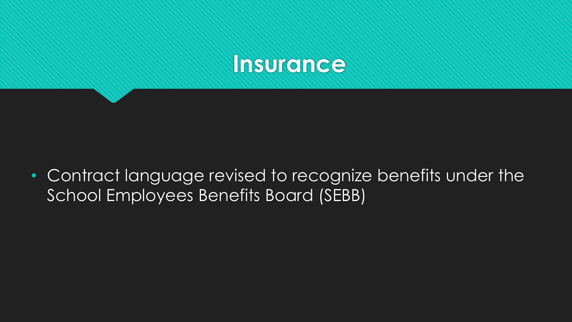

• Contract language revised to recognize benefits under the School Employees Benefits Board (SEBB)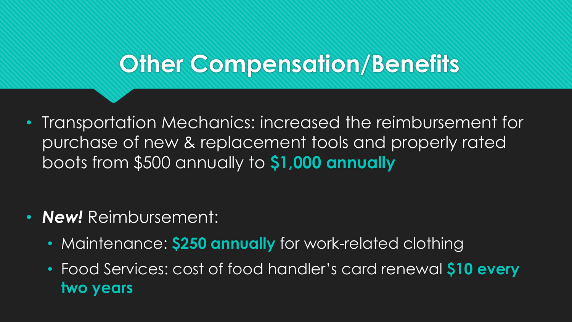## **Other Compensation/Benefits**

• Transportation Mechanics: increased the reimbursement for purchase of new & replacement tools and properly rated boots from \$500 annually to **\$1,000 annually**

- *New!* Reimbursement:
	- Maintenance: **\$250 annually** for work-related clothing
	- Food Services: cost of food handler's card renewal **\$10 every two years**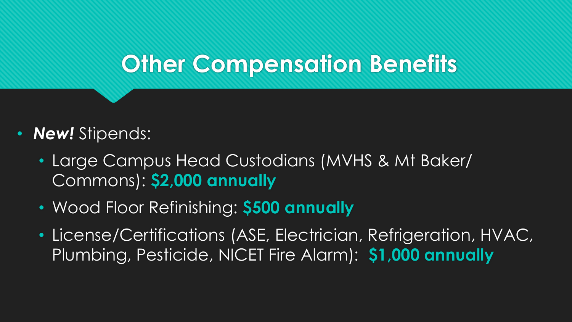## **Other Compensation Benefits**

- **New!** Stipends:
	- Large Campus Head Custodians (MVHS & Mt Baker/ Commons): **\$2,000 annually**
	- Wood Floor Refinishing: **\$500 annually**
	- License/Certifications (ASE, Electrician, Refrigeration, HVAC, Plumbing, Pesticide, NICET Fire Alarm): **\$1,000 annually**